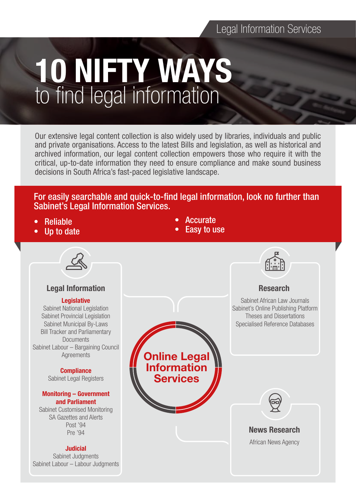# Legal Information Services

# 10 NIFTY WAYS to find legal information

Our extensive legal content collection is also widely used by libraries, individuals and public and private organisations. Access to the latest Bills and legislation, as well as historical and archived information, our legal content collection empowers those who require it with the critical, up-to-date information they need to ensure compliance and make sound business decisions in South Africa's fast-paced legislative landscape.

For easily searchable and quick-to-find legal information, look no further than Sabinet's Legal Information Services.

- Reliable
- Up to date
- **Accurate**
- **Easy to use**